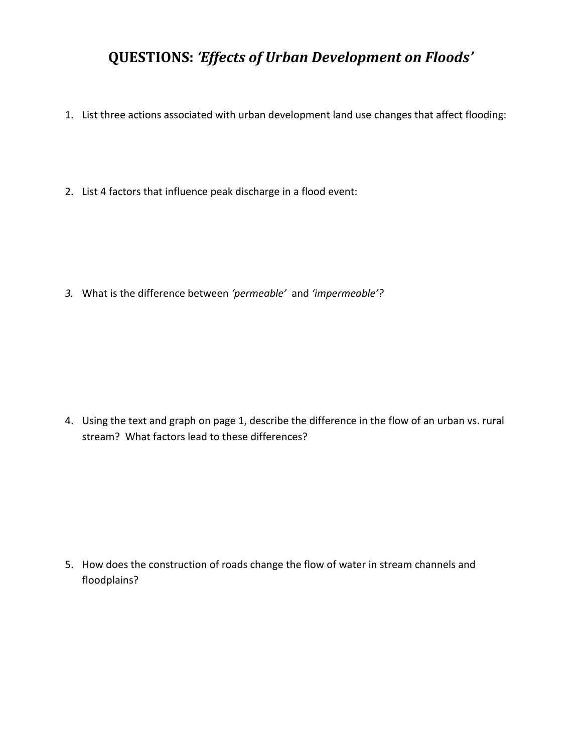## **QUESTIONS:** *'Effects of Urban Development on Floods'*

- 1. List three actions associated with urban development land use changes that affect flooding:
- 2. List 4 factors that influence peak discharge in a flood event:

*3.* What is the difference between *'permeable'* and *'impermeable'?*

4. Using the text and graph on page 1, describe the difference in the flow of an urban vs. rural stream? What factors lead to these differences?

5. How does the construction of roads change the flow of water in stream channels and floodplains?